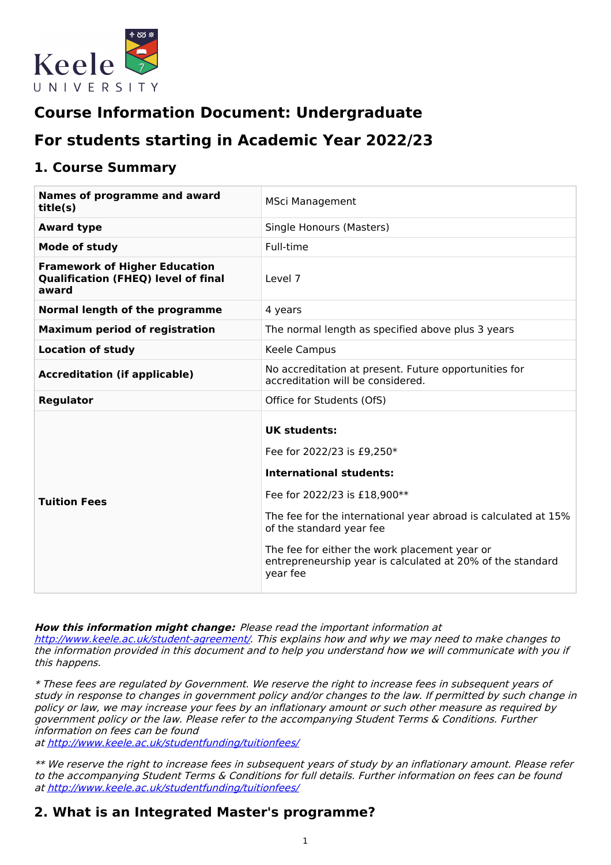

# **Course Information Document: Undergraduate**

# **For students starting in Academic Year 2022/23**

## **1. Course Summary**

| Names of programme and award<br>title(s)                                                    | <b>MSci Management</b>                                                                                                                                                                                                                                                                                                                |  |  |
|---------------------------------------------------------------------------------------------|---------------------------------------------------------------------------------------------------------------------------------------------------------------------------------------------------------------------------------------------------------------------------------------------------------------------------------------|--|--|
| <b>Award type</b>                                                                           | Single Honours (Masters)                                                                                                                                                                                                                                                                                                              |  |  |
| <b>Mode of study</b>                                                                        | Full-time                                                                                                                                                                                                                                                                                                                             |  |  |
| <b>Framework of Higher Education</b><br><b>Qualification (FHEQ) level of final</b><br>award | Level 7                                                                                                                                                                                                                                                                                                                               |  |  |
| Normal length of the programme                                                              | 4 years                                                                                                                                                                                                                                                                                                                               |  |  |
| <b>Maximum period of registration</b>                                                       | The normal length as specified above plus 3 years                                                                                                                                                                                                                                                                                     |  |  |
| <b>Location of study</b>                                                                    | Keele Campus                                                                                                                                                                                                                                                                                                                          |  |  |
| <b>Accreditation (if applicable)</b>                                                        | No accreditation at present. Future opportunities for<br>accreditation will be considered.                                                                                                                                                                                                                                            |  |  |
| <b>Regulator</b>                                                                            | Office for Students (OfS)                                                                                                                                                                                                                                                                                                             |  |  |
| <b>Tuition Fees</b>                                                                         | UK students:<br>Fee for 2022/23 is £9,250*<br><b>International students:</b><br>Fee for 2022/23 is £18,900**<br>The fee for the international year abroad is calculated at 15%<br>of the standard year fee<br>The fee for either the work placement year or<br>entrepreneurship year is calculated at 20% of the standard<br>year fee |  |  |

**How this information might change:** Please read the important information at

<http://www.keele.ac.uk/student-agreement/>. This explains how and why we may need to make changes to the information provided in this document and to help you understand how we will communicate with you if this happens.

\* These fees are regulated by Government. We reserve the right to increase fees in subsequent years of study in response to changes in government policy and/or changes to the law. If permitted by such change in policy or law, we may increase your fees by an inflationary amount or such other measure as required by government policy or the law. Please refer to the accompanying Student Terms & Conditions. Further information on fees can be found

at <http://www.keele.ac.uk/studentfunding/tuitionfees/>

\*\* We reserve the right to increase fees in subsequent years of study by an inflationary amount. Please refer to the accompanying Student Terms & Conditions for full details. Further information on fees can be found at <http://www.keele.ac.uk/studentfunding/tuitionfees/>

## **2. What is an Integrated Master's programme?**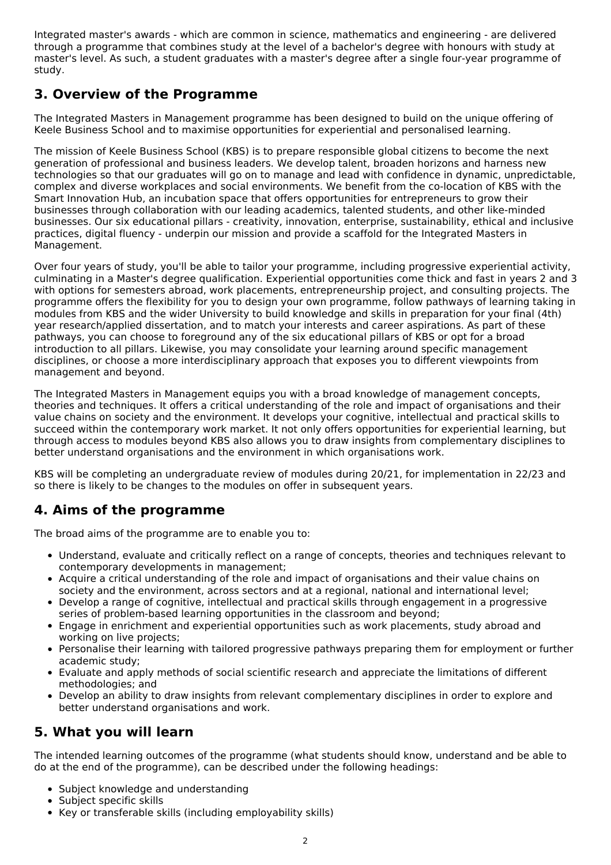Integrated master's awards - which are common in science, mathematics and engineering - are delivered through a programme that combines study at the level of a bachelor's degree with honours with study at master's level. As such, a student graduates with a master's degree after a single four-year programme of study.

## **3. Overview of the Programme**

The Integrated Masters in Management programme has been designed to build on the unique offering of Keele Business School and to maximise opportunities for experiential and personalised learning.

The mission of Keele Business School (KBS) is to prepare responsible global citizens to become the next generation of professional and business leaders. We develop talent, broaden horizons and harness new technologies so that our graduates will go on to manage and lead with confidence in dynamic, unpredictable, complex and diverse workplaces and social environments. We benefit from the co-location of KBS with the Smart Innovation Hub, an incubation space that offers opportunities for entrepreneurs to grow their businesses through collaboration with our leading academics, talented students, and other like-minded businesses. Our six educational pillars - creativity, innovation, enterprise, sustainability, ethical and inclusive practices, digital fluency - underpin our mission and provide a scaffold for the Integrated Masters in Management.

Over four years of study, you'll be able to tailor your programme, including progressive experiential activity, culminating in a Master's degree qualification. Experiential opportunities come thick and fast in years 2 and 3 with options for semesters abroad, work placements, entrepreneurship project, and consulting projects. The programme offers the flexibility for you to design your own programme, follow pathways of learning taking in modules from KBS and the wider University to build knowledge and skills in preparation for your final (4th) year research/applied dissertation, and to match your interests and career aspirations. As part of these pathways, you can choose to foreground any of the six educational pillars of KBS or opt for a broad introduction to all pillars. Likewise, you may consolidate your learning around specific management disciplines, or choose a more interdisciplinary approach that exposes you to different viewpoints from management and beyond.

The Integrated Masters in Management equips you with a broad knowledge of management concepts, theories and techniques. It offers a critical understanding of the role and impact of organisations and their value chains on society and the environment. It develops your cognitive, intellectual and practical skills to succeed within the contemporary work market. It not only offers opportunities for experiential learning, but through access to modules beyond KBS also allows you to draw insights from complementary disciplines to better understand organisations and the environment in which organisations work.

KBS will be completing an undergraduate review of modules during 20/21, for implementation in 22/23 and so there is likely to be changes to the modules on offer in subsequent years.

## **4. Aims of the programme**

The broad aims of the programme are to enable you to:

- Understand, evaluate and critically reflect on a range of concepts, theories and techniques relevant to contemporary developments in management;
- Acquire a critical understanding of the role and impact of organisations and their value chains on society and the environment, across sectors and at a regional, national and international level;
- Develop a range of cognitive, intellectual and practical skills through engagement in a progressive series of problem-based learning opportunities in the classroom and beyond;
- Engage in enrichment and experiential opportunities such as work placements, study abroad and working on live projects;
- Personalise their learning with tailored progressive pathways preparing them for employment or further academic study;
- Evaluate and apply methods of social scientific research and appreciate the limitations of different methodologies; and
- Develop an ability to draw insights from relevant complementary disciplines in order to explore and better understand organisations and work.

## **5. What you will learn**

The intended learning outcomes of the programme (what students should know, understand and be able to do at the end of the programme), can be described under the following headings:

- Subject knowledge and understanding
- Subject specific skills
- Key or transferable skills (including employability skills)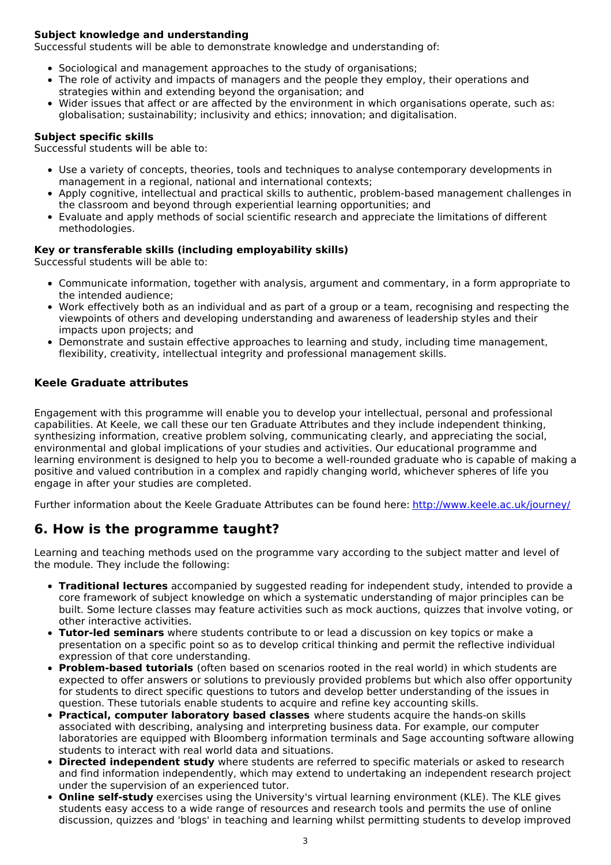### **Subject knowledge and understanding**

Successful students will be able to demonstrate knowledge and understanding of:

- Sociological and management approaches to the study of organisations;
- The role of activity and impacts of managers and the people they employ, their operations and strategies within and extending beyond the organisation; and
- Wider issues that affect or are affected by the environment in which organisations operate, such as: globalisation; sustainability; inclusivity and ethics; innovation; and digitalisation.

### **Subject specific skills**

Successful students will be able to:

- Use a variety of concepts, theories, tools and techniques to analyse contemporary developments in management in a regional, national and international contexts;
- Apply cognitive, intellectual and practical skills to authentic, problem-based management challenges in the classroom and beyond through experiential learning opportunities; and
- Evaluate and apply methods of social scientific research and appreciate the limitations of different methodologies.

#### **Key or transferable skills (including employability skills)**

Successful students will be able to:

- Communicate information, together with analysis, argument and commentary, in a form appropriate to the intended audience;
- Work effectively both as an individual and as part of a group or a team, recognising and respecting the viewpoints of others and developing understanding and awareness of leadership styles and their impacts upon projects; and
- Demonstrate and sustain effective approaches to learning and study, including time management, flexibility, creativity, intellectual integrity and professional management skills.

### **Keele Graduate attributes**

Engagement with this programme will enable you to develop your intellectual, personal and professional capabilities. At Keele, we call these our ten Graduate Attributes and they include independent thinking, synthesizing information, creative problem solving, communicating clearly, and appreciating the social, environmental and global implications of your studies and activities. Our educational programme and learning environment is designed to help you to become a well-rounded graduate who is capable of making a positive and valued contribution in a complex and rapidly changing world, whichever spheres of life you engage in after your studies are completed.

Further information about the Keele Graduate Attributes can be found here: <http://www.keele.ac.uk/journey/>

## **6. How is the programme taught?**

Learning and teaching methods used on the programme vary according to the subject matter and level of the module. They include the following:

- **Traditional lectures** accompanied by suggested reading for independent study, intended to provide a core framework of subject knowledge on which a systematic understanding of major principles can be built. Some lecture classes may feature activities such as mock auctions, quizzes that involve voting, or other interactive activities.
- **Tutor-led seminars** where students contribute to or lead a discussion on key topics or make a presentation on a specific point so as to develop critical thinking and permit the reflective individual expression of that core understanding.
- **Problem-based tutorials** (often based on scenarios rooted in the real world) in which students are expected to offer answers or solutions to previously provided problems but which also offer opportunity for students to direct specific questions to tutors and develop better understanding of the issues in question. These tutorials enable students to acquire and refine key accounting skills.
- **Practical, computer laboratory based classes** where students acquire the hands-on skills associated with describing, analysing and interpreting business data. For example, our computer laboratories are equipped with Bloomberg information terminals and Sage accounting software allowing students to interact with real world data and situations.
- **Directed independent study** where students are referred to specific materials or asked to research and find information independently, which may extend to undertaking an independent research project under the supervision of an experienced tutor.
- **Online self-study** exercises using the University's virtual learning environment (KLE). The KLE gives students easy access to a wide range of resources and research tools and permits the use of online discussion, quizzes and 'blogs' in teaching and learning whilst permitting students to develop improved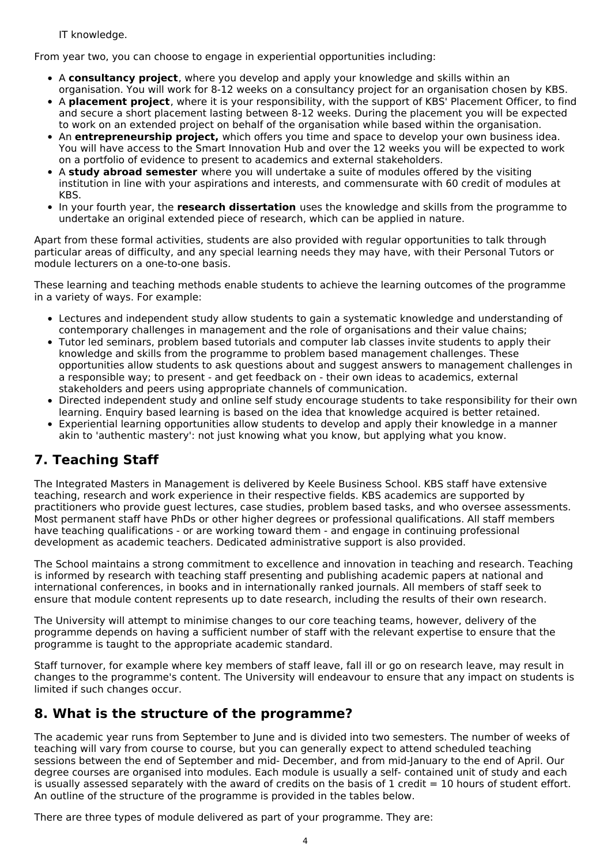IT knowledge.

From year two, you can choose to engage in experiential opportunities including:

- A **consultancy project**, where you develop and apply your knowledge and skills within an organisation. You will work for 8-12 weeks on a consultancy project for an organisation chosen by KBS.
- A **placement project**, where it is your responsibility, with the support of KBS' Placement Officer, to find and secure a short placement lasting between 8-12 weeks. During the placement you will be expected to work on an extended project on behalf of the organisation while based within the organisation.
- An **entrepreneurship project,** which offers you time and space to develop your own business idea. You will have access to the Smart Innovation Hub and over the 12 weeks you will be expected to work on a portfolio of evidence to present to academics and external stakeholders.
- A **study abroad semester** where you will undertake a suite of modules offered by the visiting institution in line with your aspirations and interests, and commensurate with 60 credit of modules at KBS.
- In your fourth year, the **research dissertation** uses the knowledge and skills from the programme to undertake an original extended piece of research, which can be applied in nature.

Apart from these formal activities, students are also provided with regular opportunities to talk through particular areas of difficulty, and any special learning needs they may have, with their Personal Tutors or module lecturers on a one-to-one basis.

These learning and teaching methods enable students to achieve the learning outcomes of the programme in a variety of ways. For example:

- Lectures and independent study allow students to gain a systematic knowledge and understanding of contemporary challenges in management and the role of organisations and their value chains;
- Tutor led seminars, problem based tutorials and computer lab classes invite students to apply their knowledge and skills from the programme to problem based management challenges. These opportunities allow students to ask questions about and suggest answers to management challenges in a responsible way; to present - and get feedback on - their own ideas to academics, external stakeholders and peers using appropriate channels of communication.
- Directed independent study and online self study encourage students to take responsibility for their own learning. Enquiry based learning is based on the idea that knowledge acquired is better retained.
- Experiential learning opportunities allow students to develop and apply their knowledge in a manner akin to 'authentic mastery': not just knowing what you know, but applying what you know.

## **7. Teaching Staff**

The Integrated Masters in Management is delivered by Keele Business School. KBS staff have extensive teaching, research and work experience in their respective fields. KBS academics are supported by practitioners who provide guest lectures, case studies, problem based tasks, and who oversee assessments. Most permanent staff have PhDs or other higher degrees or professional qualifications. All staff members have teaching qualifications - or are working toward them - and engage in continuing professional development as academic teachers. Dedicated administrative support is also provided.

The School maintains a strong commitment to excellence and innovation in teaching and research. Teaching is informed by research with teaching staff presenting and publishing academic papers at national and international conferences, in books and in internationally ranked journals. All members of staff seek to ensure that module content represents up to date research, including the results of their own research.

The University will attempt to minimise changes to our core teaching teams, however, delivery of the programme depends on having a sufficient number of staff with the relevant expertise to ensure that the programme is taught to the appropriate academic standard.

Staff turnover, for example where key members of staff leave, fall ill or go on research leave, may result in changes to the programme's content. The University will endeavour to ensure that any impact on students is limited if such changes occur.

## **8. What is the structure of the programme?**

The academic year runs from September to June and is divided into two semesters. The number of weeks of teaching will vary from course to course, but you can generally expect to attend scheduled teaching sessions between the end of September and mid- December, and from mid-January to the end of April. Our degree courses are organised into modules. Each module is usually a self- contained unit of study and each is usually assessed separately with the award of credits on the basis of 1 credit  $= 10$  hours of student effort. An outline of the structure of the programme is provided in the tables below.

There are three types of module delivered as part of your programme. They are: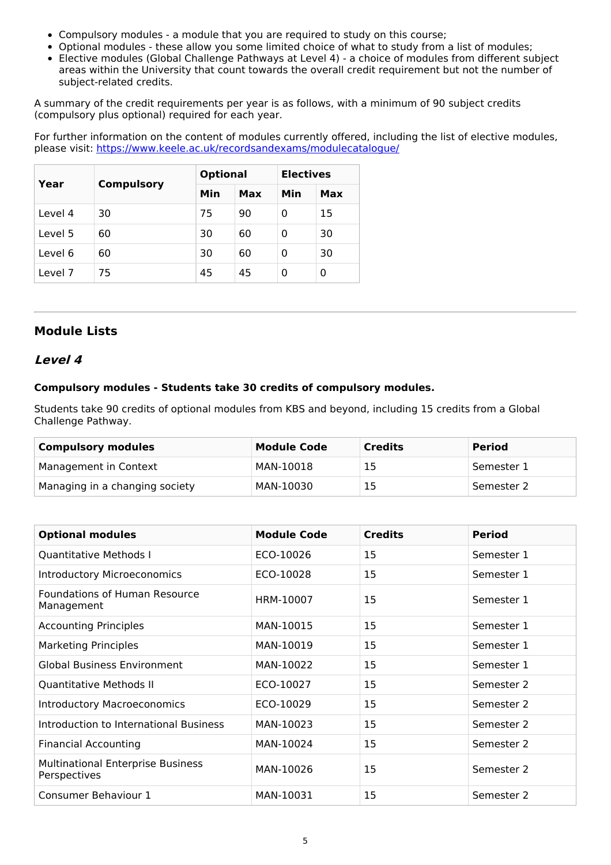- Compulsory modules a module that you are required to study on this course;
- Optional modules these allow you some limited choice of what to study from a list of modules;
- Elective modules (Global Challenge Pathways at Level 4) a choice of modules from different subject areas within the University that count towards the overall credit requirement but not the number of subject-related credits.

A summary of the credit requirements per year is as follows, with a minimum of 90 subject credits (compulsory plus optional) required for each year.

For further information on the content of modules currently offered, including the list of elective modules, please visit: <https://www.keele.ac.uk/recordsandexams/modulecatalogue/>

| Year    |                   | <b>Optional</b> |     | <b>Electives</b> |     |
|---------|-------------------|-----------------|-----|------------------|-----|
|         | <b>Compulsory</b> | Min             | Max | Min              | Max |
| Level 4 | 30                | 75              | 90  | 0                | 15  |
| Level 5 | 60                | 30              | 60  | 0                | 30  |
| Level 6 | 60                | 30              | 60  | 0                | 30  |
| Level 7 | 75                | 45              | 45  | 0                | 0   |

## **Module Lists**

### **Level 4**

### **Compulsory modules - Students take 30 credits of compulsory modules.**

Students take 90 credits of optional modules from KBS and beyond, including 15 credits from a Global Challenge Pathway.

| <b>Compulsory modules</b>      | <b>Module Code</b> | <b>Credits</b> | <b>Period</b> |
|--------------------------------|--------------------|----------------|---------------|
| Management in Context          | MAN-10018          | 15             | Semester 1    |
| Managing in a changing society | MAN-10030          | 15             | Semester 2    |

| <b>Optional modules</b>                                  | <b>Module Code</b> | <b>Credits</b> | <b>Period</b> |
|----------------------------------------------------------|--------------------|----------------|---------------|
|                                                          |                    |                |               |
| Quantitative Methods I                                   | ECO-10026          | 15             | Semester 1    |
| <b>Introductory Microeconomics</b>                       | ECO-10028          | 15             | Semester 1    |
| <b>Foundations of Human Resource</b><br>Management       | HRM-10007          | 15             | Semester 1    |
| <b>Accounting Principles</b>                             | MAN-10015          | 15             | Semester 1    |
| <b>Marketing Principles</b>                              | MAN-10019          | 15             | Semester 1    |
| <b>Global Business Environment</b>                       | MAN-10022          | 15             | Semester 1    |
| Quantitative Methods II                                  | ECO-10027          | 15             | Semester 2    |
| <b>Introductory Macroeconomics</b>                       | ECO-10029          | 15             | Semester 2    |
| Introduction to International Business                   | MAN-10023          | 15             | Semester 2    |
| <b>Financial Accounting</b>                              | MAN-10024          | 15             | Semester 2    |
| <b>Multinational Enterprise Business</b><br>Perspectives | MAN-10026          | 15             | Semester 2    |
| Consumer Behaviour 1                                     | MAN-10031          | 15             | Semester 2    |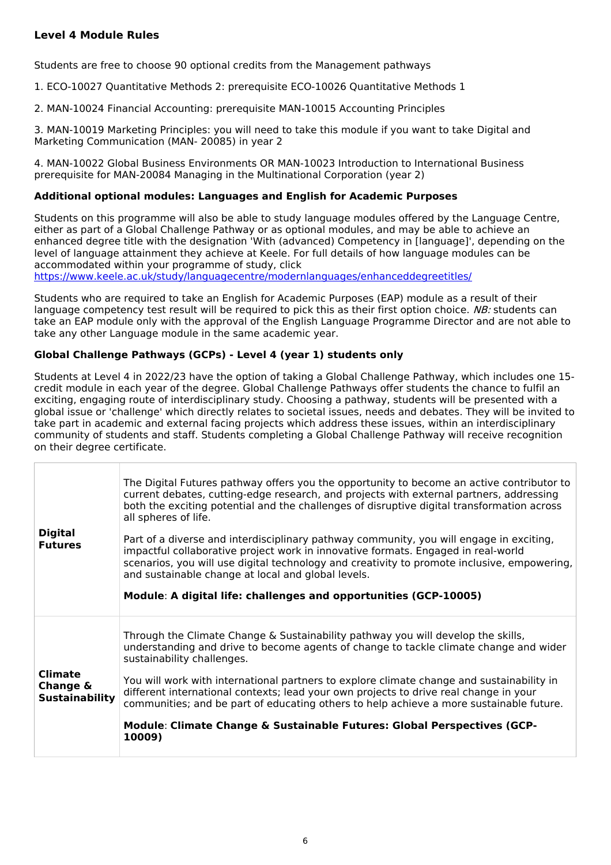### **Level 4 Module Rules**

Students are free to choose 90 optional credits from the Management pathways

1. ECO-10027 Quantitative Methods 2: prerequisite ECO-10026 Quantitative Methods 1

2. MAN-10024 Financial Accounting: prerequisite MAN-10015 Accounting Principles

3. MAN-10019 Marketing Principles: you will need to take this module if you want to take Digital and Marketing Communication (MAN- 20085) in year 2

4. MAN-10022 Global Business Environments OR MAN-10023 Introduction to International Business prerequisite for MAN-20084 Managing in the Multinational Corporation (year 2)

### **Additional optional modules: Languages and English for Academic Purposes**

Students on this programme will also be able to study language modules offered by the Language Centre, either as part of a Global Challenge Pathway or as optional modules, and may be able to achieve an enhanced degree title with the designation 'With (advanced) Competency in [language]', depending on the level of language attainment they achieve at Keele. For full details of how language modules can be accommodated within your programme of study, click

<https://www.keele.ac.uk/study/languagecentre/modernlanguages/enhanceddegreetitles/>

Students who are required to take an English for Academic Purposes (EAP) module as a result of their language competency test result will be required to pick this as their first option choice. NB: students can take an EAP module only with the approval of the English Language Programme Director and are not able to take any other Language module in the same academic year.

### **Global Challenge Pathways (GCPs) - Level 4 (year 1) students only**

Students at Level 4 in 2022/23 have the option of taking a Global Challenge Pathway, which includes one 15 credit module in each year of the degree. Global Challenge Pathways offer students the chance to fulfil an exciting, engaging route of interdisciplinary study. Choosing a pathway, students will be presented with a global issue or 'challenge' which directly relates to societal issues, needs and debates. They will be invited to take part in academic and external facing projects which address these issues, within an interdisciplinary community of students and staff. Students completing a Global Challenge Pathway will receive recognition on their degree certificate.

| <b>Digital</b><br><b>Futures</b>                    | The Digital Futures pathway offers you the opportunity to become an active contributor to<br>current debates, cutting-edge research, and projects with external partners, addressing<br>both the exciting potential and the challenges of disruptive digital transformation across<br>all spheres of life.<br>Part of a diverse and interdisciplinary pathway community, you will engage in exciting,<br>impactful collaborative project work in innovative formats. Engaged in real-world<br>scenarios, you will use digital technology and creativity to promote inclusive, empowering,<br>and sustainable change at local and global levels.<br>Module: A digital life: challenges and opportunities (GCP-10005) |
|-----------------------------------------------------|---------------------------------------------------------------------------------------------------------------------------------------------------------------------------------------------------------------------------------------------------------------------------------------------------------------------------------------------------------------------------------------------------------------------------------------------------------------------------------------------------------------------------------------------------------------------------------------------------------------------------------------------------------------------------------------------------------------------|
| <b>Climate</b><br>Change &<br><b>Sustainability</b> | Through the Climate Change & Sustainability pathway you will develop the skills,<br>understanding and drive to become agents of change to tackle climate change and wider<br>sustainability challenges.<br>You will work with international partners to explore climate change and sustainability in<br>different international contexts; lead your own projects to drive real change in your<br>communities; and be part of educating others to help achieve a more sustainable future.<br>Module: Climate Change & Sustainable Futures: Global Perspectives (GCP-<br>10009)                                                                                                                                       |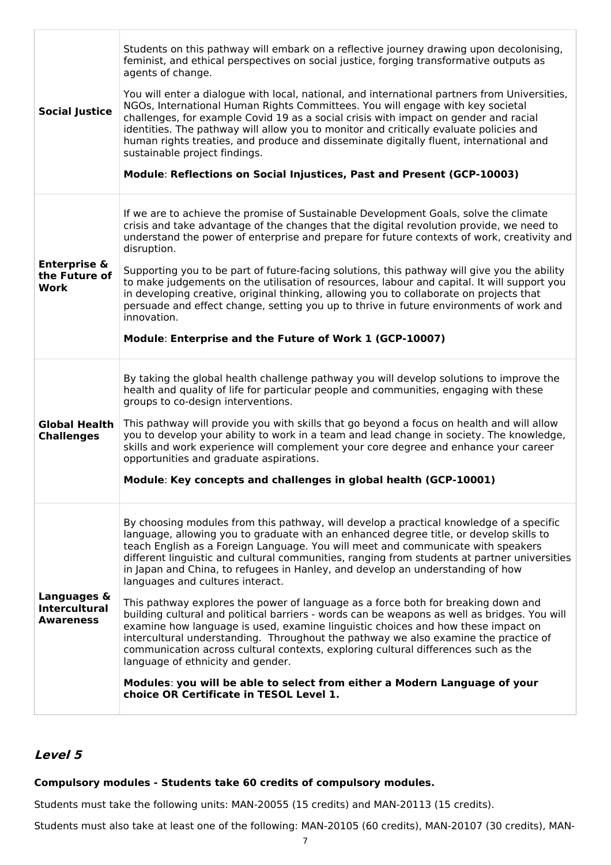| <b>Social Justice</b>                                   | Students on this pathway will embark on a reflective journey drawing upon decolonising,<br>feminist, and ethical perspectives on social justice, forging transformative outputs as<br>agents of change.<br>You will enter a dialogue with local, national, and international partners from Universities,<br>NGOs, International Human Rights Committees. You will engage with key societal<br>challenges, for example Covid 19 as a social crisis with impact on gender and racial<br>identities. The pathway will allow you to monitor and critically evaluate policies and<br>human rights treaties, and produce and disseminate digitally fluent, international and<br>sustainable project findings.<br>Module: Reflections on Social Injustices, Past and Present (GCP-10003)                                                                                                                                                                                                                                                                                                                              |
|---------------------------------------------------------|----------------------------------------------------------------------------------------------------------------------------------------------------------------------------------------------------------------------------------------------------------------------------------------------------------------------------------------------------------------------------------------------------------------------------------------------------------------------------------------------------------------------------------------------------------------------------------------------------------------------------------------------------------------------------------------------------------------------------------------------------------------------------------------------------------------------------------------------------------------------------------------------------------------------------------------------------------------------------------------------------------------------------------------------------------------------------------------------------------------|
| <b>Enterprise &amp;</b><br>the Future of<br>Work        | If we are to achieve the promise of Sustainable Development Goals, solve the climate<br>crisis and take advantage of the changes that the digital revolution provide, we need to<br>understand the power of enterprise and prepare for future contexts of work, creativity and<br>disruption.<br>Supporting you to be part of future-facing solutions, this pathway will give you the ability<br>to make judgements on the utilisation of resources, labour and capital. It will support you<br>in developing creative, original thinking, allowing you to collaborate on projects that<br>persuade and effect change, setting you up to thrive in future environments of work and<br>innovation.<br>Module: Enterprise and the Future of Work 1 (GCP-10007)                                                                                                                                                                                                                                                                                                                                                   |
| <b>Global Health</b><br><b>Challenges</b>               | By taking the global health challenge pathway you will develop solutions to improve the<br>health and quality of life for particular people and communities, engaging with these<br>groups to co-design interventions.<br>This pathway will provide you with skills that go beyond a focus on health and will allow<br>you to develop your ability to work in a team and lead change in society. The knowledge,<br>skills and work experience will complement your core degree and enhance your career<br>opportunities and graduate aspirations.<br>Module: Key concepts and challenges in global health (GCP-10001)                                                                                                                                                                                                                                                                                                                                                                                                                                                                                          |
| Languages &<br><b>Intercultural</b><br><b>Awareness</b> | By choosing modules from this pathway, will develop a practical knowledge of a specific<br>language, allowing you to graduate with an enhanced degree title, or develop skills to<br>teach English as a Foreign Language. You will meet and communicate with speakers<br>different linguistic and cultural communities, ranging from students at partner universities<br>in Japan and China, to refugees in Hanley, and develop an understanding of how<br>languages and cultures interact.<br>This pathway explores the power of language as a force both for breaking down and<br>building cultural and political barriers - words can be weapons as well as bridges. You will<br>examine how language is used, examine linguistic choices and how these impact on<br>intercultural understanding. Throughout the pathway we also examine the practice of<br>communication across cultural contexts, exploring cultural differences such as the<br>language of ethnicity and gender.<br>Modules: you will be able to select from either a Modern Language of your<br>choice OR Certificate in TESOL Level 1. |

### **Level 5**

## **Compulsory modules - Students take 60 credits of compulsory modules.**

Students must take the following units: MAN-20055 (15 credits) and MAN-20113 (15 credits).

Students must also take at least one of the following: MAN-20105 (60 credits), MAN-20107 (30 credits), MAN-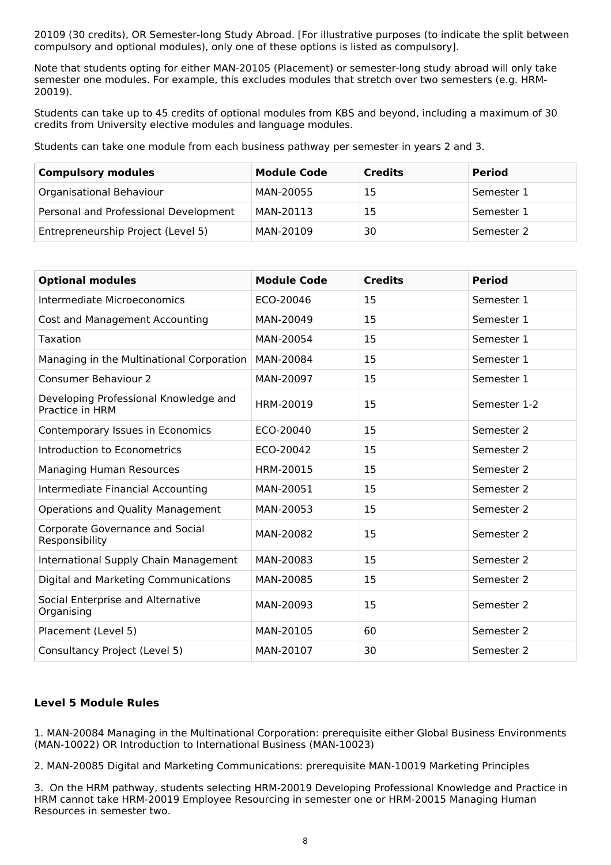20109 (30 credits), OR Semester-long Study Abroad. [For illustrative purposes (to indicate the split between compulsory and optional modules), only one of these options is listed as compulsory].

Note that students opting for either MAN-20105 (Placement) or semester-long study abroad will only take semester one modules. For example, this excludes modules that stretch over two semesters (e.g. HRM-20019).

Students can take up to 45 credits of optional modules from KBS and beyond, including a maximum of 30 credits from University elective modules and language modules.

Students can take one module from each business pathway per semester in years 2 and 3.

| <b>Compulsory modules</b>             | <b>Module Code</b> | <b>Credits</b> | <b>Period</b> |
|---------------------------------------|--------------------|----------------|---------------|
| Organisational Behaviour              | MAN-20055          | 15             | Semester 1    |
| Personal and Professional Development | MAN-20113          | 15             | Semester 1    |
| Entrepreneurship Project (Level 5)    | MAN-20109          | 30             | Semester 2    |

| <b>Optional modules</b>                                  | <b>Module Code</b> | <b>Credits</b> | <b>Period</b> |
|----------------------------------------------------------|--------------------|----------------|---------------|
| Intermediate Microeconomics                              | ECO-20046          | 15             | Semester 1    |
| Cost and Management Accounting                           | MAN-20049          | 15             | Semester 1    |
| Taxation                                                 | MAN-20054          | 15             | Semester 1    |
| Managing in the Multinational Corporation                | MAN-20084          | 15             | Semester 1    |
| <b>Consumer Behaviour 2</b>                              | MAN-20097          | 15             | Semester 1    |
| Developing Professional Knowledge and<br>Practice in HRM | HRM-20019          | 15             | Semester 1-2  |
| Contemporary Issues in Economics                         | ECO-20040          | 15             | Semester 2    |
| Introduction to Econometrics                             | ECO-20042          | 15             | Semester 2    |
| <b>Managing Human Resources</b>                          | HRM-20015          | 15             | Semester 2    |
| Intermediate Financial Accounting                        | MAN-20051          | 15             | Semester 2    |
| Operations and Quality Management                        | MAN-20053          | 15             | Semester 2    |
| Corporate Governance and Social<br>Responsibility        | MAN-20082          | 15             | Semester 2    |
| International Supply Chain Management                    | MAN-20083          | 15             | Semester 2    |
| Digital and Marketing Communications                     | MAN-20085          | 15             | Semester 2    |
| Social Enterprise and Alternative<br>Organising          | MAN-20093          | 15             | Semester 2    |
| Placement (Level 5)                                      | MAN-20105          | 60             | Semester 2    |
| Consultancy Project (Level 5)                            | MAN-20107          | 30             | Semester 2    |

#### **Level 5 Module Rules**

1. MAN-20084 Managing in the Multinational Corporation: prerequisite either Global Business Environments (MAN-10022) OR Introduction to International Business (MAN-10023)

2. MAN-20085 Digital and Marketing Communications: prerequisite MAN-10019 Marketing Principles

3. On the HRM pathway, students selecting HRM-20019 Developing Professional Knowledge and Practice in HRM cannot take HRM-20019 Employee Resourcing in semester one or HRM-20015 Managing Human Resources in semester two.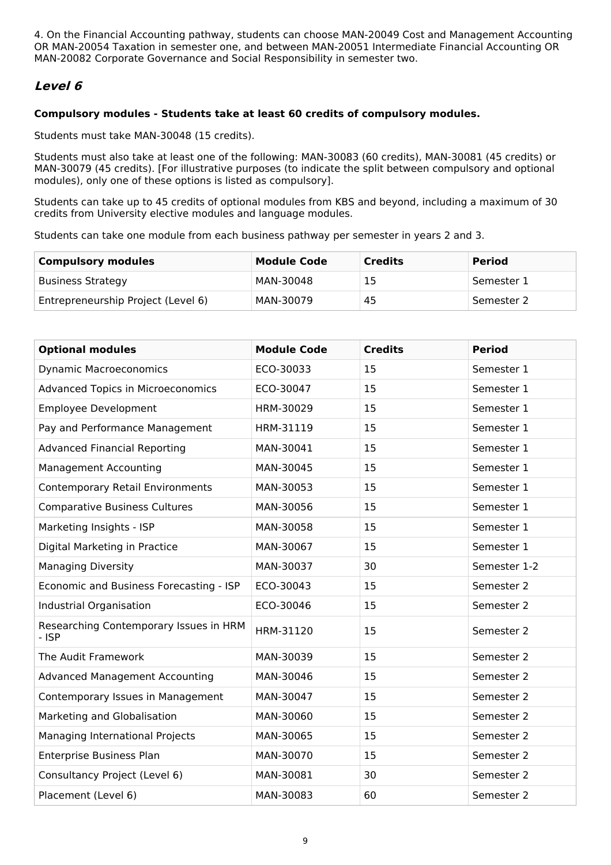4. On the Financial Accounting pathway, students can choose MAN-20049 Cost and Management Accounting OR MAN-20054 Taxation in semester one, and between MAN-20051 Intermediate Financial Accounting OR MAN-20082 Corporate Governance and Social Responsibility in semester two.

## **Level 6**

#### **Compulsory modules - Students take at least 60 credits of compulsory modules.**

Students must take MAN-30048 (15 credits).

Students must also take at least one of the following: MAN-30083 (60 credits), MAN-30081 (45 credits) or MAN-30079 (45 credits). [For illustrative purposes (to indicate the split between compulsory and optional modules), only one of these options is listed as compulsory].

Students can take up to 45 credits of optional modules from KBS and beyond, including a maximum of 30 credits from University elective modules and language modules.

Students can take one module from each business pathway per semester in years 2 and 3.

| <b>Compulsory modules</b>          | <b>Module Code</b> | <b>Credits</b> | <b>Period</b> |
|------------------------------------|--------------------|----------------|---------------|
| <b>Business Strategy</b>           | MAN-30048          | 15             | Semester 1    |
| Entrepreneurship Project (Level 6) | MAN-30079          | 45             | Semester 2    |

| <b>Optional modules</b>                           | <b>Module Code</b> | <b>Credits</b> | <b>Period</b> |
|---------------------------------------------------|--------------------|----------------|---------------|
| <b>Dynamic Macroeconomics</b>                     | ECO-30033          | 15             | Semester 1    |
| <b>Advanced Topics in Microeconomics</b>          | ECO-30047          | 15             | Semester 1    |
| <b>Employee Development</b>                       | HRM-30029          | 15             | Semester 1    |
| Pay and Performance Management                    | HRM-31119          | 15             | Semester 1    |
| <b>Advanced Financial Reporting</b>               | MAN-30041          | 15             | Semester 1    |
| <b>Management Accounting</b>                      | MAN-30045          | 15             | Semester 1    |
| <b>Contemporary Retail Environments</b>           | MAN-30053          | 15             | Semester 1    |
| <b>Comparative Business Cultures</b>              | MAN-30056          | 15             | Semester 1    |
| Marketing Insights - ISP                          | MAN-30058          | 15             | Semester 1    |
| Digital Marketing in Practice                     | MAN-30067          | 15             | Semester 1    |
| <b>Managing Diversity</b>                         | MAN-30037          | 30             | Semester 1-2  |
| Economic and Business Forecasting - ISP           | ECO-30043          | 15             | Semester 2    |
| Industrial Organisation                           | ECO-30046          | 15             | Semester 2    |
| Researching Contemporary Issues in HRM<br>$-$ ISP | HRM-31120          | 15             | Semester 2    |
| The Audit Framework                               | MAN-30039          | 15             | Semester 2    |
| <b>Advanced Management Accounting</b>             | MAN-30046          | 15             | Semester 2    |
| Contemporary Issues in Management                 | MAN-30047          | 15             | Semester 2    |
| Marketing and Globalisation                       | MAN-30060          | 15             | Semester 2    |
| Managing International Projects                   | MAN-30065          | 15             | Semester 2    |
| Enterprise Business Plan                          | MAN-30070          | 15             | Semester 2    |
| Consultancy Project (Level 6)                     | MAN-30081          | 30             | Semester 2    |
| Placement (Level 6)                               | MAN-30083          | 60             | Semester 2    |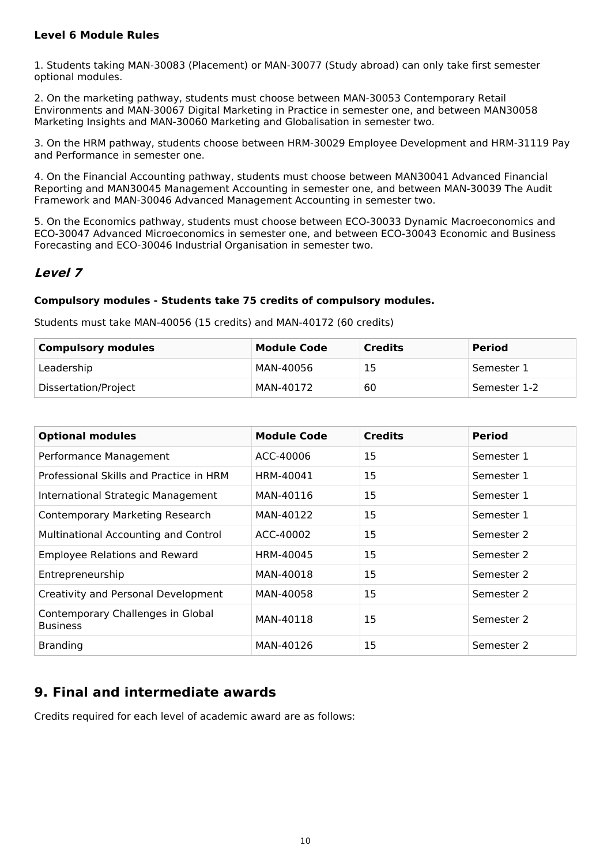### **Level 6 Module Rules**

1. Students taking MAN-30083 (Placement) or MAN-30077 (Study abroad) can only take first semester optional modules.

2. On the marketing pathway, students must choose between MAN-30053 Contemporary Retail Environments and MAN-30067 Digital Marketing in Practice in semester one, and between MAN30058 Marketing Insights and MAN-30060 Marketing and Globalisation in semester two.

3. On the HRM pathway, students choose between HRM-30029 Employee Development and HRM-31119 Pay and Performance in semester one.

4. On the Financial Accounting pathway, students must choose between MAN30041 Advanced Financial Reporting and MAN30045 Management Accounting in semester one, and between MAN-30039 The Audit Framework and MAN-30046 Advanced Management Accounting in semester two.

5. On the Economics pathway, students must choose between ECO-30033 Dynamic Macroeconomics and ECO-30047 Advanced Microeconomics in semester one, and between ECO-30043 Economic and Business Forecasting and ECO-30046 Industrial Organisation in semester two.

## **Level 7**

#### **Compulsory modules - Students take 75 credits of compulsory modules.**

Students must take MAN-40056 (15 credits) and MAN-40172 (60 credits)

| <b>Compulsory modules</b> | <b>Module Code</b> | <b>Credits</b> | <b>Period</b> |
|---------------------------|--------------------|----------------|---------------|
| Leadership                | MAN-40056          | 15             | Semester 1    |
| Dissertation/Project      | MAN-40172          | 60             | Semester 1-2  |

| <b>Optional modules</b>                              | <b>Module Code</b> | <b>Credits</b> | <b>Period</b> |
|------------------------------------------------------|--------------------|----------------|---------------|
| Performance Management                               | ACC-40006          | 15             | Semester 1    |
| Professional Skills and Practice in HRM              | HRM-40041          | 15             | Semester 1    |
| International Strategic Management                   | MAN-40116          | 15             | Semester 1    |
| <b>Contemporary Marketing Research</b>               | MAN-40122          | 15             | Semester 1    |
| <b>Multinational Accounting and Control</b>          | ACC-40002          | 15             | Semester 2    |
| <b>Employee Relations and Reward</b>                 | HRM-40045          | 15             | Semester 2    |
| Entrepreneurship                                     | MAN-40018          | 15             | Semester 2    |
| Creativity and Personal Development                  | MAN-40058          | 15             | Semester 2    |
| Contemporary Challenges in Global<br><b>Business</b> | MAN-40118          | 15             | Semester 2    |
| <b>Branding</b>                                      | MAN-40126          | 15             | Semester 2    |

## **9. Final and intermediate awards**

Credits required for each level of academic award are as follows: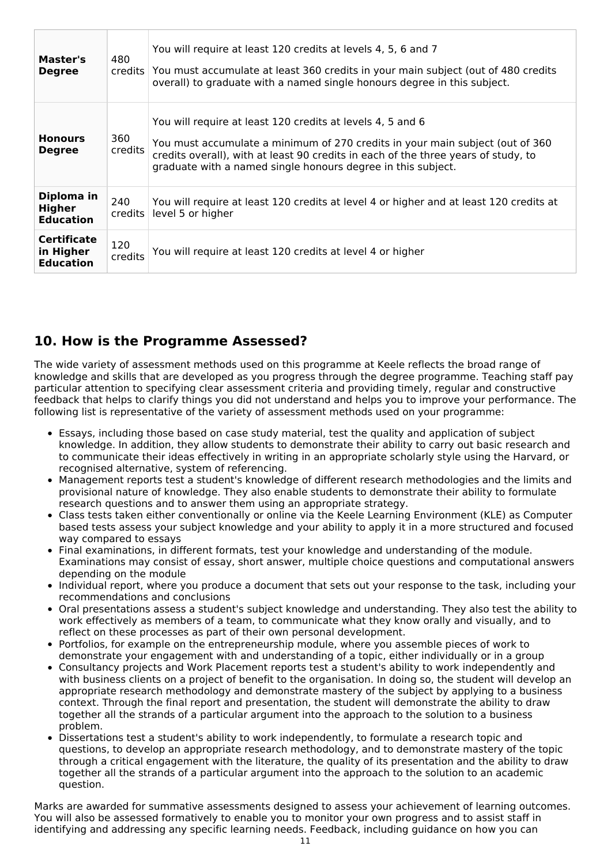| Master's<br><b>Degree</b>                           | 480<br>$c$ redits $\vert$ | You will require at least 120 credits at levels 4, 5, 6 and 7<br>You must accumulate at least 360 credits in your main subject (out of 480 credits<br>overall) to graduate with a named single honours degree in this subject.                                                                    |  |
|-----------------------------------------------------|---------------------------|---------------------------------------------------------------------------------------------------------------------------------------------------------------------------------------------------------------------------------------------------------------------------------------------------|--|
| <b>Honours</b><br><b>Degree</b>                     | 360<br>credits            | You will require at least 120 credits at levels 4, 5 and 6<br>You must accumulate a minimum of 270 credits in your main subject (out of 360<br>credits overall), with at least 90 credits in each of the three years of study, to<br>graduate with a named single honours degree in this subject. |  |
| Diploma in<br>Higher<br><b>Education</b>            | 240<br>$c$ redits $\vert$ | You will require at least 120 credits at level 4 or higher and at least 120 credits at<br>level 5 or higher                                                                                                                                                                                       |  |
| <b>Certificate</b><br>in Higher<br><b>Education</b> | 120<br>credits            | You will require at least 120 credits at level 4 or higher                                                                                                                                                                                                                                        |  |

## **10. How is the Programme Assessed?**

The wide variety of assessment methods used on this programme at Keele reflects the broad range of knowledge and skills that are developed as you progress through the degree programme. Teaching staff pay particular attention to specifying clear assessment criteria and providing timely, regular and constructive feedback that helps to clarify things you did not understand and helps you to improve your performance. The following list is representative of the variety of assessment methods used on your programme:

- Essays, including those based on case study material, test the quality and application of subject knowledge. In addition, they allow students to demonstrate their ability to carry out basic research and to communicate their ideas effectively in writing in an appropriate scholarly style using the Harvard, or recognised alternative, system of referencing.
- Management reports test a student's knowledge of different research methodologies and the limits and provisional nature of knowledge. They also enable students to demonstrate their ability to formulate research questions and to answer them using an appropriate strategy.
- Class tests taken either conventionally or online via the Keele Learning Environment (KLE) as Computer based tests assess your subject knowledge and your ability to apply it in a more structured and focused way compared to essays
- Final examinations, in different formats, test your knowledge and understanding of the module. Examinations may consist of essay, short answer, multiple choice questions and computational answers depending on the module
- Individual report, where you produce a document that sets out your response to the task, including your recommendations and conclusions
- Oral presentations assess a student's subject knowledge and understanding. They also test the ability to work effectively as members of a team, to communicate what they know orally and visually, and to reflect on these processes as part of their own personal development.
- Portfolios, for example on the entrepreneurship module, where you assemble pieces of work to demonstrate your engagement with and understanding of a topic, either individually or in a group
- Consultancy projects and Work Placement reports test a student's ability to work independently and with business clients on a project of benefit to the organisation. In doing so, the student will develop an appropriate research methodology and demonstrate mastery of the subject by applying to a business context. Through the final report and presentation, the student will demonstrate the ability to draw together all the strands of a particular argument into the approach to the solution to a business problem.
- Dissertations test a student's ability to work independently, to formulate a research topic and questions, to develop an appropriate research methodology, and to demonstrate mastery of the topic through a critical engagement with the literature, the quality of its presentation and the ability to draw together all the strands of a particular argument into the approach to the solution to an academic question.

Marks are awarded for summative assessments designed to assess your achievement of learning outcomes. You will also be assessed formatively to enable you to monitor your own progress and to assist staff in identifying and addressing any specific learning needs. Feedback, including guidance on how you can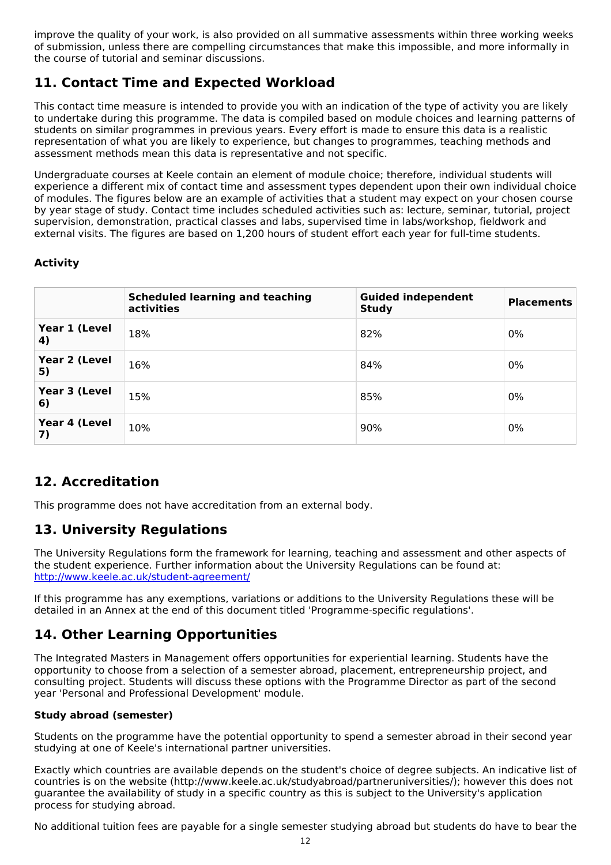improve the quality of your work, is also provided on all summative assessments within three working weeks of submission, unless there are compelling circumstances that make this impossible, and more informally in the course of tutorial and seminar discussions.

## **11. Contact Time and Expected Workload**

This contact time measure is intended to provide you with an indication of the type of activity you are likely to undertake during this programme. The data is compiled based on module choices and learning patterns of students on similar programmes in previous years. Every effort is made to ensure this data is a realistic representation of what you are likely to experience, but changes to programmes, teaching methods and assessment methods mean this data is representative and not specific.

Undergraduate courses at Keele contain an element of module choice; therefore, individual students will experience a different mix of contact time and assessment types dependent upon their own individual choice of modules. The figures below are an example of activities that a student may expect on your chosen course by year stage of study. Contact time includes scheduled activities such as: lecture, seminar, tutorial, project supervision, demonstration, practical classes and labs, supervised time in labs/workshop, fieldwork and external visits. The figures are based on 1,200 hours of student effort each year for full-time students.

### **Activity**

|                     | <b>Scheduled learning and teaching</b><br>activities | <b>Guided independent</b><br><b>Study</b> | <b>Placements</b> |
|---------------------|------------------------------------------------------|-------------------------------------------|-------------------|
| Year 1 (Level<br>4) | 18%                                                  | 82%                                       | $0\%$             |
| Year 2 (Level<br>5) | 16%                                                  | 84%                                       | $0\%$             |
| Year 3 (Level<br>6) | 15%                                                  | 85%                                       | $0\%$             |
| Year 4 (Level<br>7) | 10%                                                  | 90%                                       | $0\%$             |

## **12. Accreditation**

This programme does not have accreditation from an external body.

## **13. University Regulations**

The University Regulations form the framework for learning, teaching and assessment and other aspects of the student experience. Further information about the University Regulations can be found at: <http://www.keele.ac.uk/student-agreement/>

If this programme has any exemptions, variations or additions to the University Regulations these will be detailed in an Annex at the end of this document titled 'Programme-specific regulations'.

## **14. Other Learning Opportunities**

The Integrated Masters in Management offers opportunities for experiential learning. Students have the opportunity to choose from a selection of a semester abroad, placement, entrepreneurship project, and consulting project. Students will discuss these options with the Programme Director as part of the second year 'Personal and Professional Development' module.

### **Study abroad (semester)**

Students on the programme have the potential opportunity to spend a semester abroad in their second year studying at one of Keele's international partner universities.

Exactly which countries are available depends on the student's choice of degree subjects. An indicative list of countries is on the website (http://www.keele.ac.uk/studyabroad/partneruniversities/); however this does not guarantee the availability of study in a specific country as this is subject to the University's application process for studying abroad.

No additional tuition fees are payable for a single semester studying abroad but students do have to bear the